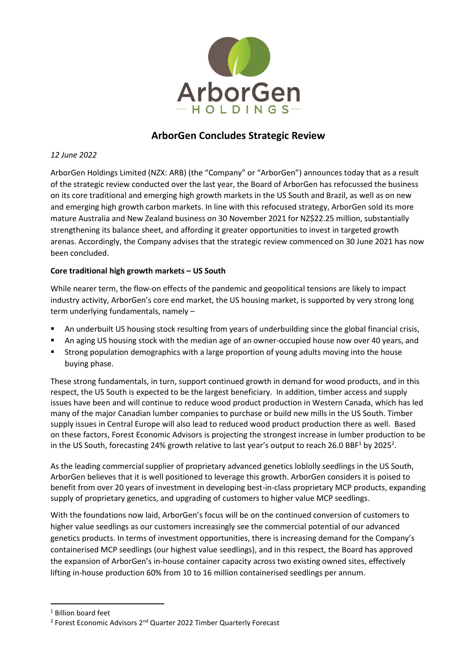

# **ArborGen Concludes Strategic Review**

### *12 June 2022*

ArborGen Holdings Limited (NZX: ARB) (the "Company" or "ArborGen") announces today that as a result of the strategic review conducted over the last year, the Board of ArborGen has refocussed the business on its core traditional and emerging high growth markets in the US South and Brazil, as well as on new and emerging high growth carbon markets. In line with this refocused strategy, ArborGen sold its more mature Australia and New Zealand business on 30 November 2021 for NZ\$22.25 million, substantially strengthening its balance sheet, and affording it greater opportunities to invest in targeted growth arenas. Accordingly, the Company advises that the strategic review commenced on 30 June 2021 has now been concluded.

### **Core traditional high growth markets – US South**

While nearer term, the flow-on effects of the pandemic and geopolitical tensions are likely to impact industry activity, ArborGen's core end market, the US housing market, is supported by very strong long term underlying fundamentals, namely –

- An underbuilt US housing stock resulting from years of underbuilding since the global financial crisis,
- An aging US housing stock with the median age of an owner-occupied house now over 40 years, and
- **■** Strong population demographics with a large proportion of young adults moving into the house buying phase.

These strong fundamentals, in turn, support continued growth in demand for wood products, and in this respect, the US South is expected to be the largest beneficiary. In addition, timber access and supply issues have been and will continue to reduce wood product production in Western Canada, which has led many of the major Canadian lumber companies to purchase or build new mills in the US South. Timber supply issues in Central Europe will also lead to reduced wood product production there as well. Based on these factors, Forest Economic Advisors is projecting the strongest increase in lumber production to be in the US South, forecasting 24% growth relative to last year's output to reach 26.0 BBF<sup>1</sup> by 2025<sup>2</sup>.

As the leading commercial supplier of proprietary advanced genetics loblolly seedlings in the US South, ArborGen believes that it is well positioned to leverage this growth. ArborGen considers it is poised to benefit from over 20 years of investment in developing best-in-class proprietary MCP products, expanding supply of proprietary genetics, and upgrading of customers to higher value MCP seedlings.

With the foundations now laid, ArborGen's focus will be on the continued conversion of customers to higher value seedlings as our customers increasingly see the commercial potential of our advanced genetics products. In terms of investment opportunities, there is increasing demand for the Company's containerised MCP seedlings (our highest value seedlings), and in this respect, the Board has approved the expansion of ArborGen's in-house container capacity across two existing owned sites, effectively lifting in-house production 60% from 10 to 16 million containerised seedlings per annum.

<sup>1</sup> Billion board feet

<sup>&</sup>lt;sup>2</sup> Forest Economic Advisors 2<sup>nd</sup> Quarter 2022 Timber Quarterly Forecast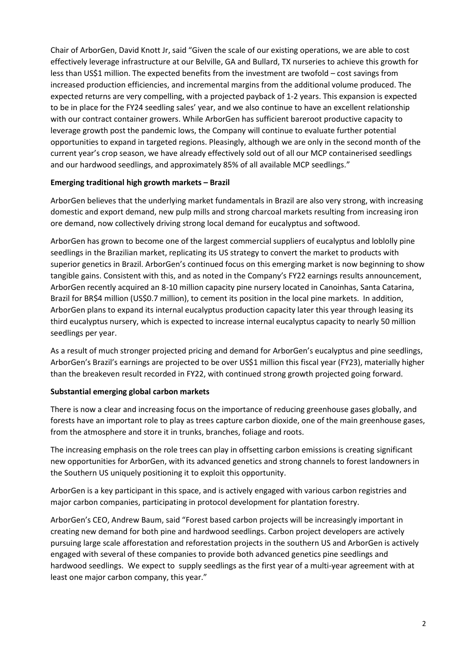Chair of ArborGen, David Knott Jr, said "Given the scale of our existing operations, we are able to cost effectively leverage infrastructure at our Belville, GA and Bullard, TX nurseries to achieve this growth for less than US\$1 million. The expected benefits from the investment are twofold – cost savings from increased production efficiencies, and incremental margins from the additional volume produced. The expected returns are very compelling, with a projected payback of 1-2 years. This expansion is expected to be in place for the FY24 seedling sales' year, and we also continue to have an excellent relationship with our contract container growers. While ArborGen has sufficient bareroot productive capacity to leverage growth post the pandemic lows, the Company will continue to evaluate further potential opportunities to expand in targeted regions. Pleasingly, although we are only in the second month of the current year's crop season, we have already effectively sold out of all our MCP containerised seedlings and our hardwood seedlings, and approximately 85% of all available MCP seedlings."

### **Emerging traditional high growth markets – Brazil**

ArborGen believes that the underlying market fundamentals in Brazil are also very strong, with increasing domestic and export demand, new pulp mills and strong charcoal markets resulting from increasing iron ore demand, now collectively driving strong local demand for eucalyptus and softwood.

ArborGen has grown to become one of the largest commercial suppliers of eucalyptus and loblolly pine seedlings in the Brazilian market, replicating its US strategy to convert the market to products with superior genetics in Brazil. ArborGen's continued focus on this emerging market is now beginning to show tangible gains. Consistent with this, and as noted in the Company's FY22 earnings results announcement, ArborGen recently acquired an 8-10 million capacity pine nursery located in Canoinhas, Santa Catarina, Brazil for BR\$4 million (US\$0.7 million), to cement its position in the local pine markets. In addition, ArborGen plans to expand its internal eucalyptus production capacity later this year through leasing its third eucalyptus nursery, which is expected to increase internal eucalyptus capacity to nearly 50 million seedlings per year.

As a result of much stronger projected pricing and demand for ArborGen's eucalyptus and pine seedlings, ArborGen's Brazil's earnings are projected to be over US\$1 million this fiscal year (FY23), materially higher than the breakeven result recorded in FY22, with continued strong growth projected going forward.

## **Substantial emerging global carbon markets**

There is now a clear and increasing focus on the importance of reducing greenhouse gases globally, and forests have an important role to play as trees capture carbon dioxide, one of the main greenhouse gases, from the atmosphere and store it in trunks, branches, foliage and roots.

The increasing emphasis on the role trees can play in offsetting carbon emissions is creating significant new opportunities for ArborGen, with its advanced genetics and strong channels to forest landowners in the Southern US uniquely positioning it to exploit this opportunity.

ArborGen is a key participant in this space, and is actively engaged with various carbon registries and major carbon companies, participating in protocol development for plantation forestry.

ArborGen's CEO, Andrew Baum, said "Forest based carbon projects will be increasingly important in creating new demand for both pine and hardwood seedlings. Carbon project developers are actively pursuing large scale afforestation and reforestation projects in the southern US and ArborGen is actively engaged with several of these companies to provide both advanced genetics pine seedlings and hardwood seedlings. We expect to supply seedlings as the first year of a multi-year agreement with at least one major carbon company, this year."